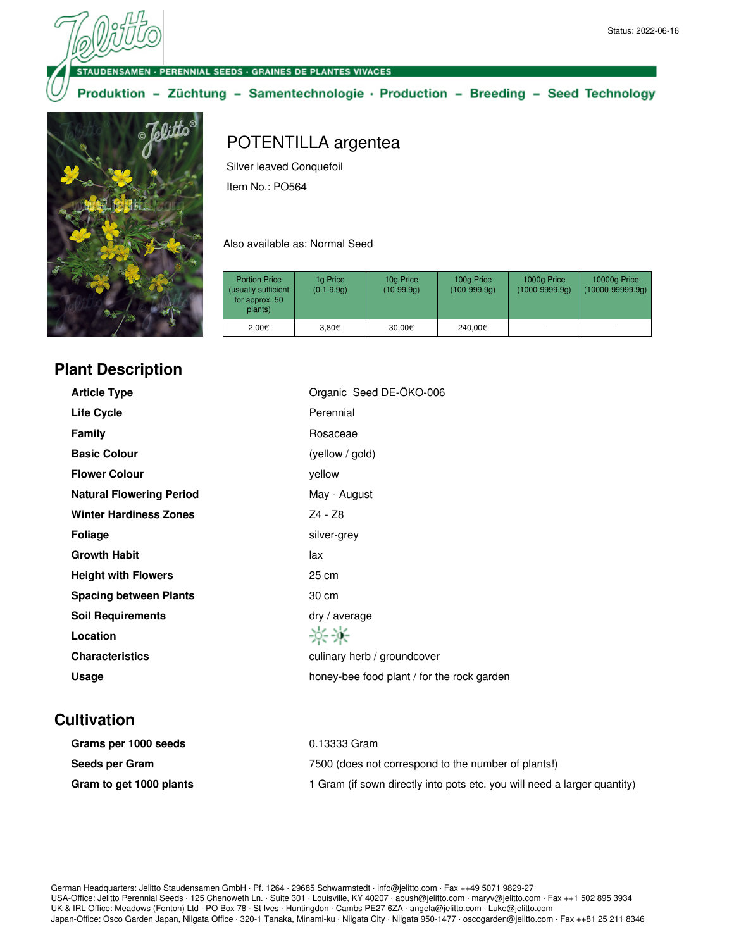ENSAMEN · PERENNIAL SEEDS · GRAINES DE PLANTES VIVACES

Produktion - Züchtung - Samentechnologie · Production - Breeding - Seed Technology



## POTENTILLA argentea

Silver leaved Conquefoil Item No.: PO564

Also available as: Normal Seed

| <b>Portion Price</b><br>(usually sufficient<br>for approx. 50<br>plants) | 1g Price<br>$(0.1 - 9.9q)$ | 10g Price<br>$(10-99.9q)$ | 100g Price<br>$(100-999.9q)$ | 1000g Price<br>$(1000 - 9999.9q)$ | 10000g Price<br>$(10000 - 99999.9q)$ |
|--------------------------------------------------------------------------|----------------------------|---------------------------|------------------------------|-----------------------------------|--------------------------------------|
| 2.00€                                                                    | 3.80€                      | 30.00€                    | 240,00€                      | ۰                                 | ۰                                    |

## **Plant Description**

| <b>Article Type</b>             | Organic Seed DE-ÖKO-006                    |
|---------------------------------|--------------------------------------------|
| <b>Life Cycle</b>               | Perennial                                  |
| Family                          | Rosaceae                                   |
| <b>Basic Colour</b>             | (yellow / gold)                            |
| <b>Flower Colour</b>            | yellow                                     |
| <b>Natural Flowering Period</b> | May - August                               |
| <b>Winter Hardiness Zones</b>   | Z4 - Z8                                    |
| <b>Foliage</b>                  | silver-grey                                |
| <b>Growth Habit</b>             | lax                                        |
| <b>Height with Flowers</b>      | 25 cm                                      |
| <b>Spacing between Plants</b>   | 30 cm                                      |
| <b>Soil Requirements</b>        | $\frac{dy}{dx}$ average                    |
| Location                        | 兴兴                                         |
| <b>Characteristics</b>          | culinary herb / groundcover                |
| <b>Usage</b>                    | honey-bee food plant / for the rock garden |
|                                 |                                            |

## **Cultivation**

| Grams per 1000 seeds    | 0.13333 Gram                                                             |
|-------------------------|--------------------------------------------------------------------------|
| Seeds per Gram          | 7500 (does not correspond to the number of plants!)                      |
| Gram to get 1000 plants | 1 Gram (if sown directly into pots etc. you will need a larger quantity) |